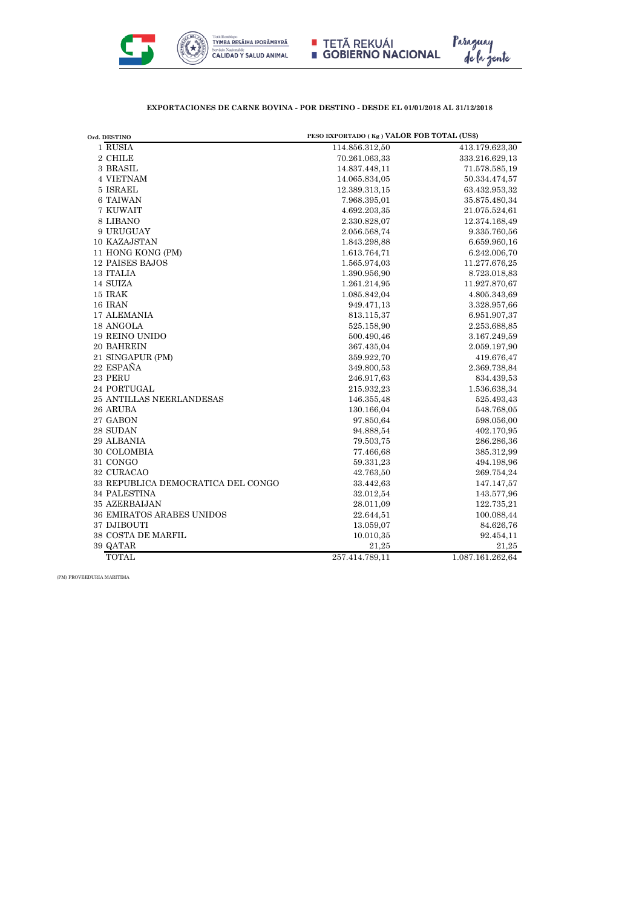

Paraguay<br>de la gente



| Ord. DESTINO                       | PESO EXPORTADO (Kg) VALOR FOB TOTAL (US\$) |                  |
|------------------------------------|--------------------------------------------|------------------|
| 1 RUSIA                            | 114.856.312,50                             | 413.179.623,30   |
| 2 CHILE                            | 70.261.063,33                              | 333.216.629,13   |
| 3 BRASIL                           | 14.837.448,11                              | 71.578.585,19    |
| 4 VIETNAM                          | 14.065.834,05                              | 50.334.474,57    |
| 5 ISRAEL                           | 12.389.313.15                              | 63.432.953,32    |
| 6 TAIWAN                           | 7.968.395,01                               | 35.875.480,34    |
| 7 KUWAIT                           | 4.692.203,35                               | 21.075.524,61    |
| 8 LIBANO                           | 2.330.828,07                               | 12.374.168,49    |
| 9 URUGUAY                          | 2.056.568,74                               | 9.335.760,56     |
| 10 KAZAJSTAN                       | 1.843.298,88                               | 6.659.960,16     |
| 11 HONG KONG (PM)                  | 1.613.764,71                               | 6.242.006,70     |
| <b>12 PAISES BAJOS</b>             | 1.565.974,03                               | 11.277.676,25    |
| 13 ITALIA                          | 1.390.956,90                               | 8.723.018,83     |
| 14 SUIZA                           | 1.261.214,95                               | 11.927.870,67    |
| 15 IRAK                            | 1.085.842,04                               | 4.805.343,69     |
| 16 IRAN                            | 949.471,13                                 | 3.328.957,66     |
| <b>17 ALEMANIA</b>                 | 813.115,37                                 | 6.951.907,37     |
| 18 ANGOLA                          | 525.158,90                                 | 2.253.688,85     |
| <b>19 REINO UNIDO</b>              | 500.490,46                                 | 3.167.249,59     |
| 20 BAHREIN                         | 367.435,04                                 | 2.059.197,90     |
| 21 SINGAPUR (PM)                   | 359.922,70                                 | 419.676,47       |
| 22 ESPAÑA                          | 349.800,53                                 | 2.369.738,84     |
| 23 PERU                            | 246.917,63                                 | 834.439,53       |
| 24 PORTUGAL                        | 215.932,23                                 | 1.536.638,34     |
| <b>25 ANTILLAS NEERLANDESAS</b>    | 146.355,48                                 | 525.493,43       |
| 26 ARUBA                           | 130.166,04                                 | 548.768,05       |
| 27 GABON                           | 97.850,64                                  | 598.056,00       |
| 28 SUDAN                           | 94.888,54                                  | 402.170,95       |
| 29 ALBANIA                         | 79.503,75                                  | 286.286,36       |
| 30 COLOMBIA                        | 77.466,68                                  | 385.312,99       |
| 31 CONGO                           | 59.331,23                                  | 494.198,96       |
| 32 CURACAO                         | 42.763,50                                  | 269.754,24       |
| 33 REPUBLICA DEMOCRATICA DEL CONGO | 33.442,63                                  | 147.147,57       |
| 34 PALESTINA                       | 32.012,54                                  | 143.577,96       |
| 35 AZERBAIJAN                      | 28.011,09                                  | 122.735,21       |
| 36 EMIRATOS ARABES UNIDOS          | 22.644,51                                  | 100.088,44       |
| 37 DJIBOUTI                        | 13.059,07                                  | 84.626,76        |
| 38 COSTA DE MARFIL                 | 10.010,35                                  | 92.454,11        |
| 39 QATAR                           | 21,25                                      | 21,25            |
| <b>TOTAL</b>                       | 257.414.789,11                             | 1.087.161.262,64 |

(PM) PROVEEDURIA MARITIMA